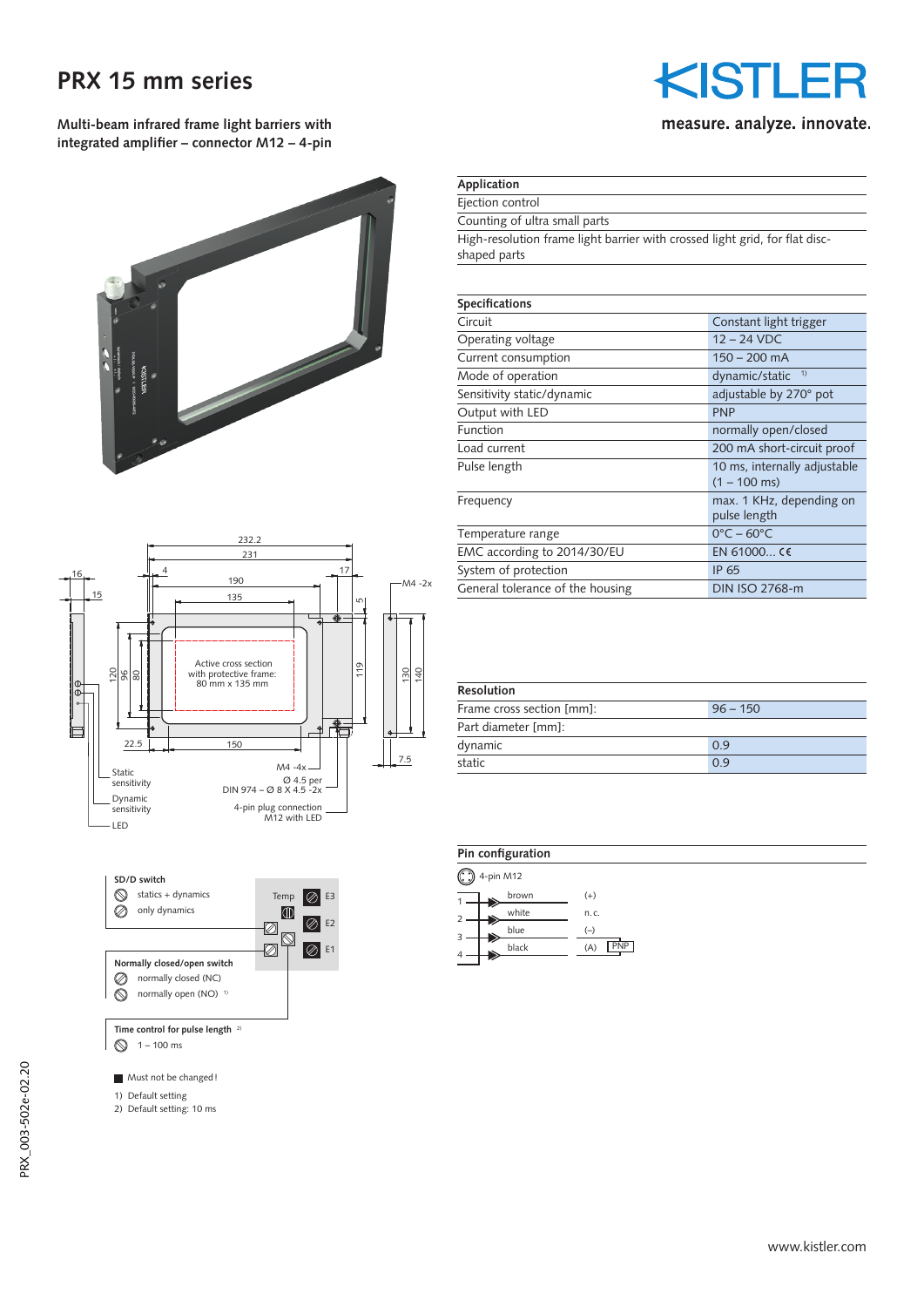## **PRX 15 mm series**

**Multi-beam infrared frame light barriers with integrated amplifier – connector M12 – 4-pin**





 $1 - 100$  ms

Must not be changed!

- 1) Default setting
- 2) Default setting: 10 ms

# KISTLE measure. analyze. innovate.

### **Application**

Ejection control

Counting of ultra small parts

High-resolution frame light barrier with crossed light grid, for flat discshaped parts

| <b>Specifications</b>            |                                 |  |  |  |
|----------------------------------|---------------------------------|--|--|--|
| Circuit                          | Constant light trigger          |  |  |  |
| Operating voltage                | $12 - 24$ VDC                   |  |  |  |
| Current consumption              | $150 - 200$ mA                  |  |  |  |
| Mode of operation                | 1)<br>dynamic/static            |  |  |  |
| Sensitivity static/dynamic       | adjustable by 270° pot          |  |  |  |
| Output with LED                  | <b>PNP</b>                      |  |  |  |
| Function                         | normally open/closed            |  |  |  |
| Load current                     | 200 mA short-circuit proof      |  |  |  |
| Pulse length                     | 10 ms, internally adjustable    |  |  |  |
|                                  | $(1 - 100 \text{ ms})$          |  |  |  |
| Frequency                        | max. 1 KHz, depending on        |  |  |  |
|                                  | pulse length                    |  |  |  |
| Temperature range                | $0^{\circ}$ C – 60 $^{\circ}$ C |  |  |  |
| EMC according to 2014/30/EU      | EN 61000 CE                     |  |  |  |
| System of protection             | IP 65                           |  |  |  |
| General tolerance of the housing | DIN ISO 2768-m                  |  |  |  |
|                                  |                                 |  |  |  |

| <b>Resolution</b>         |            |  |  |  |
|---------------------------|------------|--|--|--|
| Frame cross section [mm]: | $96 - 150$ |  |  |  |
| Part diameter [mm]:       |            |  |  |  |
| dynamic                   | 0.9        |  |  |  |
| static                    | 0.9        |  |  |  |

| Pin configuration |           |                   |  |  |
|-------------------|-----------|-------------------|--|--|
| $\bigcirc$        | 4-pin M12 |                   |  |  |
| 1                 | brown     | $^{(+)}$          |  |  |
| 2                 | white     | n.c.              |  |  |
| 3                 | blue      | $(-)$             |  |  |
| 4                 | black     | <b>PNP</b><br>(A) |  |  |
|                   |           |                   |  |  |